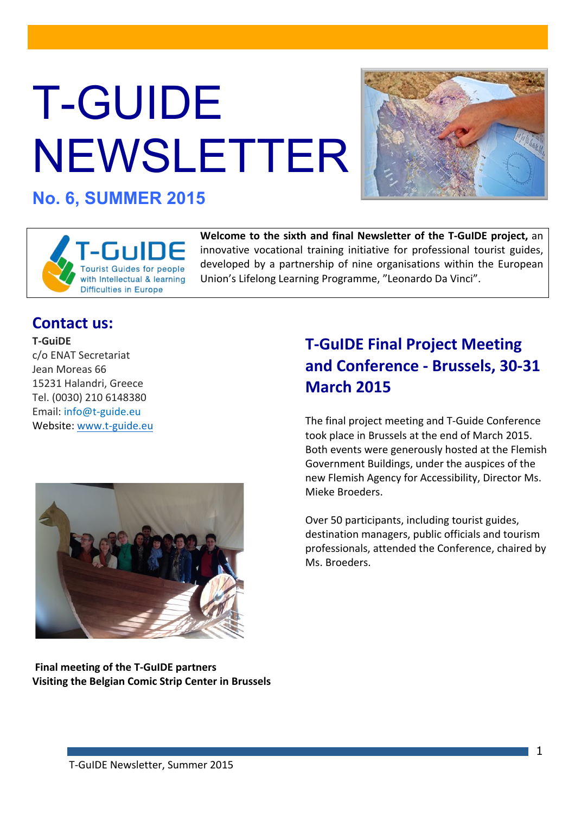# T-GUIDE NEWSLETTER



**No. 6, SUMMER 2015**



**Welcome to the sixth and final Newsletter of the T-GuIDE project, an** innovative vocational training initiative for professional tourist guides, developed by a partnership of nine organisations within the European Union's Lifelong Learning Programme, "Leonardo Da Vinci".

### **Contact us:**

**T5GuiDE** c/o ENAT Secretariat Jean Moreas 66 15231 Halandri, Greece Tel. (0030) 210 6148380 Email: info@t-guide.eu Website: www.t-guide.eu



**Final meeting of the T-GuIDE partners Visiting the Belgian Comic Strip Center in Brussels** 

## **T-GuIDE Final Project Meeting and Conference - Brussels, 30-31 March!2015**

The final project meeting and T-Guide Conference took place in Brussels at the end of March 2015. Both events were generously hosted at the Flemish Government Buildings, under the auspices of the new Flemish Agency for Accessibility, Director Ms. Mieke Broeders.

Over 50 participants, including tourist guides, destination managers, public officials and tourism professionals, attended the Conference, chaired by Ms. Broeders.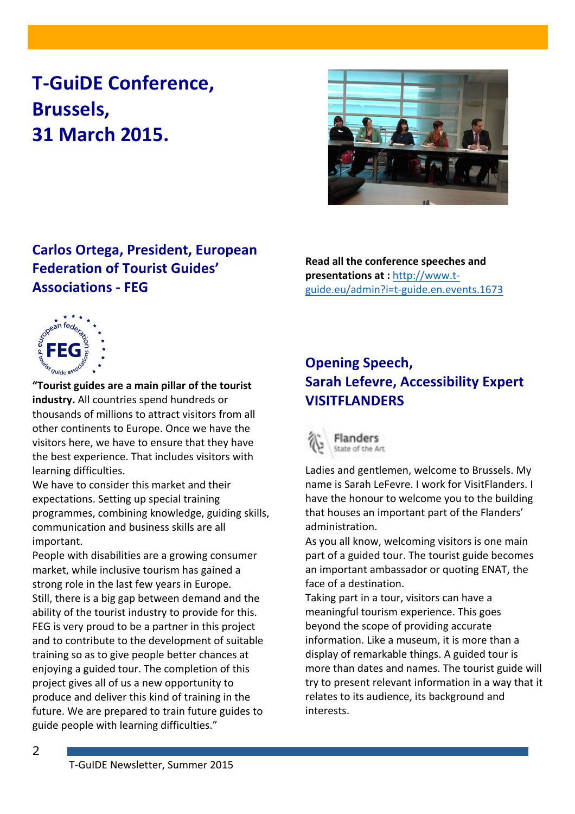## **T-GuiDE Conference, Brussels,! 31!March!2015.**



## **Carlos Ortega, President, European Federation of Tourist Guides' Associations!5 FEG**

**Read all the conference speeches and presentations at : http://www.t**guide.eu/admin?i=t-guide.en.events.1673



"Tourist guides are a main pillar of the tourist industry. All countries spend hundreds or thousands of millions to attract visitors from all other continents to Europe. Once we have the visitors here, we have to ensure that they have the best experience. That includes visitors with learning difficulties.

We have to consider this market and their expectations. Setting up special training programmes, combining knowledge, guiding skills, communication and business skills are all important.

People with disabilities are a growing consumer market, while inclusive tourism has gained a strong role in the last few years in Europe. Still, there is a big gap between demand and the ability of the tourist industry to provide for this. FEG is very proud to be a partner in this project and to contribute to the development of suitable training so as to give people better chances at enjoying a guided tour. The completion of this project gives all of us a new opportunity to produce and deliver this kind of training in the future. We are prepared to train future guides to guide people with learning difficulties."

## **Opening Speech, Sarah Lefevre, Accessibility Expert VISITFLANDERS!!**



Ladies and gentlemen, welcome to Brussels. My name is Sarah LeFevre. I work for VisitFlanders. I have the honour to welcome you to the building that houses an important part of the Flanders' administration.

As you all know, welcoming visitors is one main part of a guided tour. The tourist guide becomes an important ambassador or quoting ENAT, the face of a destination.

Taking part in a tour, visitors can have a meaningful tourism experience. This goes beyond the scope of providing accurate information. Like a museum, it is more than a display of remarkable things. A guided tour is more than dates and names. The tourist guide will try to present relevant information in a way that it relates to its audience, its background and interests.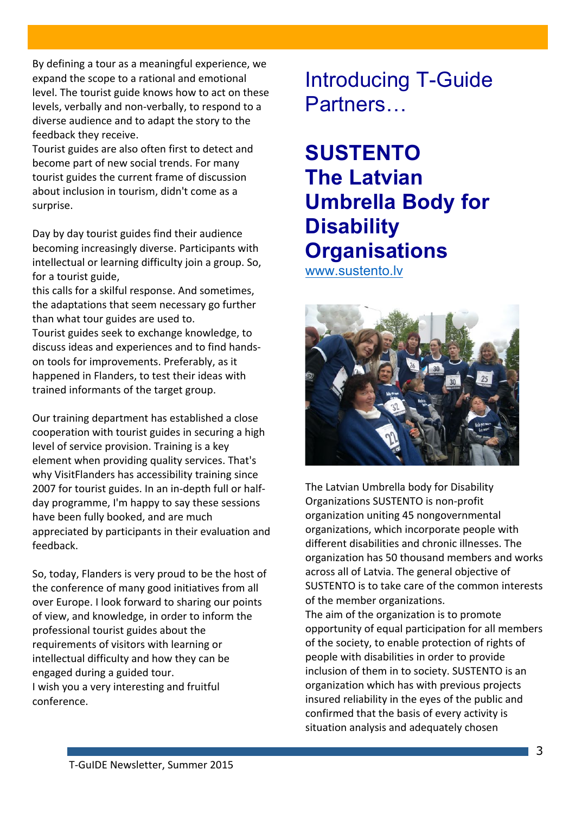By defining a tour as a meaningful experience, we expand the scope to a rational and emotional level. The tourist guide knows how to act on these levels, verbally and non-verbally, to respond to a diverse audience and to adapt the story to the feedback they receive.

Tourist guides are also often first to detect and become part of new social trends. For many tourist guides the current frame of discussion about inclusion in tourism, didn't come as a surprise.

Day by day tourist guides find their audience becoming increasingly diverse. Participants with intellectual or learning difficulty join a group. So, for a tourist guide.

this calls for a skilful response. And sometimes, the adaptations that seem necessary go further than what tour guides are used to.

Tourist guides seek to exchange knowledge, to discuss ideas and experiences and to find handson tools for improvements. Preferably, as it happened in Flanders, to test their ideas with trained informants of the target group.

Our training department has established a close cooperation with tourist guides in securing a high level of service provision. Training is a key element when providing quality services. That's why VisitFlanders has accessibility training since 2007 for tourist guides. In an in-depth full or halfday programme, I'm happy to say these sessions have been fully booked, and are much appreciated by participants in their evaluation and feedback.

So, today, Flanders is very proud to be the host of the conference of many good initiatives from all over Europe. I look forward to sharing our points of view, and knowledge, in order to inform the professional tourist guides about the requirements of visitors with learning or intellectual difficulty and how they can be engaged during a guided tour. I wish you a very interesting and fruitful conference.

Introducing T-Guide Partners…

**SUSTENTO The Latvian Umbrella Body for Disability Organisations** www.sustento.lv



The Latvian Umbrella body for Disability Organizations SUSTENTO is non-profit organization uniting 45 nongovernmental organizations, which incorporate people with different disabilities and chronic illnesses. The organization has 50 thousand members and works across all of Latvia. The general objective of SUSTENTO is to take care of the common interests of the member organizations.

The aim of the organization is to promote opportunity of equal participation for all members of the society, to enable protection of rights of people with disabilities in order to provide inclusion of them in to society. SUSTENTO is an organization which has with previous projects insured reliability in the eyes of the public and confirmed that the basis of every activity is situation analysis and adequately chosen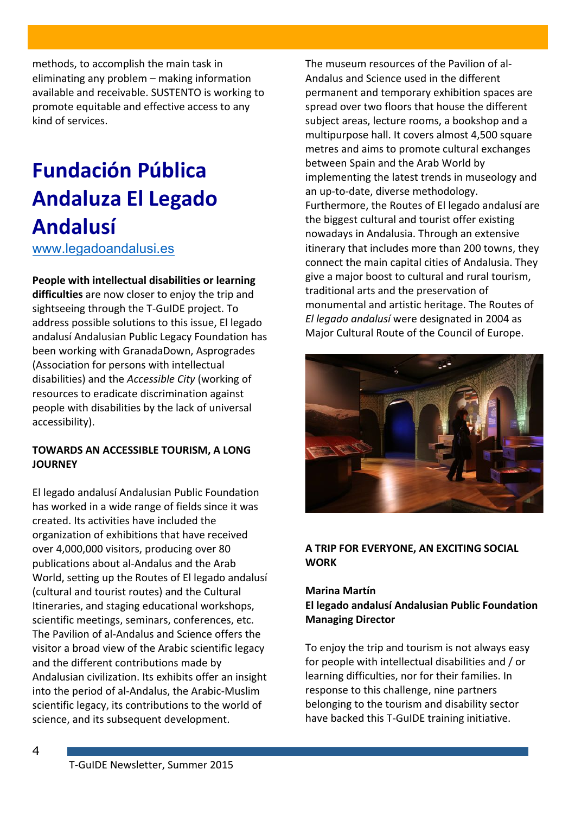methods, to accomplish the main task in eliminating any problem – making information available and receivable. SUSTENTO is working to promote equitable and effective access to any kind of services.

# **Fundación!Pública! Andaluza!El!Legado! Andalusí**

www.legadoandalusi.es

#### **People with intellectual disabilities or learning**

difficulties are now closer to enjoy the trip and sightseeing through the T-GuIDE project. To address possible solutions to this issue, El legado andalusí Andalusian Public Legacy Foundation has been working with GranadaDown, Asprogrades (Association for persons with intellectual disabilities) and the *Accessible City* (working of resources to eradicate discrimination against people with disabilities by the lack of universal accessibility).

#### **TOWARDS AN ACCESSIBLE TOURISM, A LONG JOURNEY**

El legado andalusí Andalusian Public Foundation has worked in a wide range of fields since it was created. Its activities have included the organization of exhibitions that have received over 4,000,000 visitors, producing over 80 publications about al-Andalus and the Arab World, setting up the Routes of El legado andalusí (cultural and tourist routes) and the Cultural Itineraries, and staging educational workshops, scientific meetings, seminars, conferences, etc. The Pavilion of al-Andalus and Science offers the visitor a broad view of the Arabic scientific legacy and the different contributions made by Andalusian civilization. Its exhibits offer an insight into the period of al-Andalus, the Arabic-Muslim scientific legacy, its contributions to the world of science, and its subsequent development.

The museum resources of the Pavilion of al-Andalus and Science used in the different permanent and temporary exhibition spaces are spread over two floors that house the different subject areas, lecture rooms, a bookshop and a multipurpose hall. It covers almost 4,500 square metres and aims to promote cultural exchanges between Spain and the Arab World by implementing the latest trends in museology and an up-to-date, diverse methodology. Furthermore, the Routes of El legado andalusí are the biggest cultural and tourist offer existing nowadays in Andalusia. Through an extensive itinerary that includes more than 200 towns, they connect the main capital cities of Andalusia. They give a major boost to cultural and rural tourism, traditional arts and the preservation of monumental and artistic heritage. The Routes of *El legado andalusí* were designated in 2004 as Major Cultural Route of the Council of Europe.



#### **A TRIP FOR EVERYONE, AN EXCITING SOCIAL WORK**

#### **Marina!Martín El legado andalusí Andalusian Public Foundation Managing Director**

To enjoy the trip and tourism is not always easy for people with intellectual disabilities and / or learning difficulties, nor for their families. In response to this challenge, nine partners belonging to the tourism and disability sector have backed this T-GuIDE training initiative.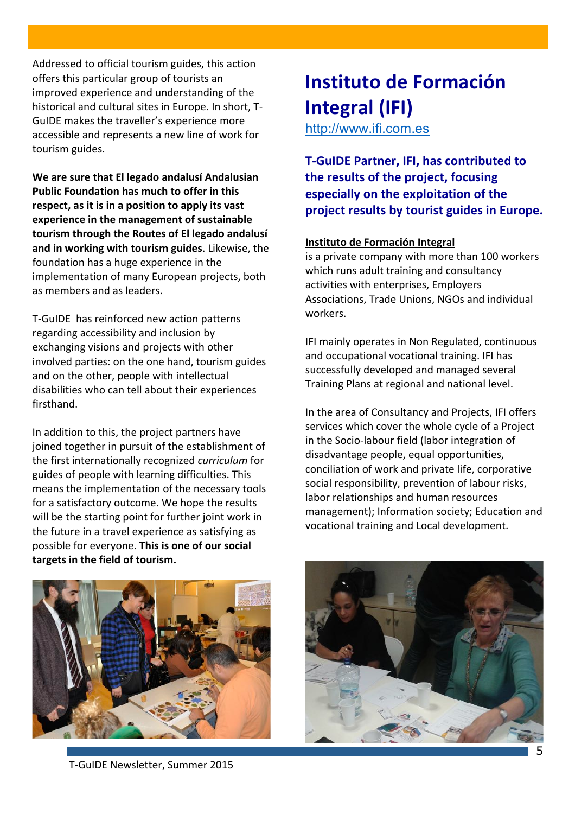Addressed to official tourism guides, this action offers this particular group of tourists an improved experience and understanding of the historical and cultural sites in Europe. In short, T-GuIDE makes the traveller's experience more accessible and represents a new line of work for tourism guides.

We are sure that El legado andalusí Andalusian **Public Foundation has much to offer in this** respect, as it is in a position to apply its vast experience in the management of sustainable tourism through the Routes of El legado andalusí and in working with tourism guides. Likewise, the foundation has a huge experience in the implementation of many European projects, both as members and as leaders.

T-GuIDE has reinforced new action patterns regarding accessibility and inclusion by exchanging visions and projects with other involved parties: on the one hand, tourism guides and on the other, people with intellectual disabilities who can tell about their experiences firsthand.

In addition to this, the project partners have joined together in pursuit of the establishment of the first internationally recognized *curriculum* for guides of people with learning difficulties. This means the implementation of the necessary tools for a satisfactory outcome. We hope the results will be the starting point for further joint work in the future in a travel experience as satisfying as possible for everyone. This is one of our social targets in the field of tourism.

# **Instituto de Formación Integral (IFI)**

http://www.ifi.com.es

**T-GuIDE Partner, IFI, has contributed to the results of the project, focusing especially on the exploitation of the** project results by tourist guides in Europe.

#### **Instituto!de!Formación!Integral**

is a private company with more than 100 workers which runs adult training and consultancy activities with enterprises, Employers Associations, Trade Unions, NGOs and individual workers.

IFI mainly operates in Non Regulated, continuous and occupational vocational training. IFI has successfully developed and managed several Training Plans at regional and national level.

In the area of Consultancy and Projects, IFI offers services which cover the whole cycle of a Project in the Socio-labour field (labor integration of disadvantage people, equal opportunities, conciliation of work and private life, corporative social responsibility, prevention of labour risks, labor relationships and human resources management); Information society; Education and vocational training and Local development.



T-GuIDE Newsletter, Summer 2015